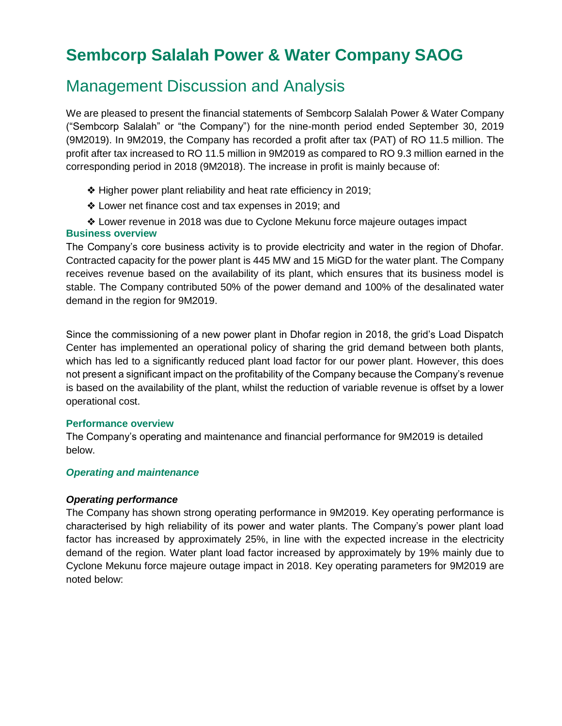# **Sembcorp Salalah Power & Water Company SAOG**

## Management Discussion and Analysis

We are pleased to present the financial statements of Sembcorp Salalah Power & Water Company ("Sembcorp Salalah" or "the Company") for the nine-month period ended September 30, 2019 (9M2019). In 9M2019, the Company has recorded a profit after tax (PAT) of RO 11.5 million. The profit after tax increased to RO 11.5 million in 9M2019 as compared to RO 9.3 million earned in the corresponding period in 2018 (9M2018). The increase in profit is mainly because of:

- ❖ Higher power plant reliability and heat rate efficiency in 2019;
- ❖ Lower net finance cost and tax expenses in 2019; and
- ❖ Lower revenue in 2018 was due to Cyclone Mekunu force majeure outages impact

## **Business overview**

The Company's core business activity is to provide electricity and water in the region of Dhofar. Contracted capacity for the power plant is 445 MW and 15 MiGD for the water plant. The Company receives revenue based on the availability of its plant, which ensures that its business model is stable. The Company contributed 50% of the power demand and 100% of the desalinated water demand in the region for 9M2019.

Since the commissioning of a new power plant in Dhofar region in 2018, the grid's Load Dispatch Center has implemented an operational policy of sharing the grid demand between both plants, which has led to a significantly reduced plant load factor for our power plant. However, this does not present a significant impact on the profitability of the Company because the Company's revenue is based on the availability of the plant, whilst the reduction of variable revenue is offset by a lower operational cost.

## **Performance overview**

The Company's operating and maintenance and financial performance for 9M2019 is detailed below.

## *Operating and maintenance*

## *Operating performance*

The Company has shown strong operating performance in 9M2019. Key operating performance is characterised by high reliability of its power and water plants. The Company's power plant load factor has increased by approximately 25%, in line with the expected increase in the electricity demand of the region. Water plant load factor increased by approximately by 19% mainly due to Cyclone Mekunu force majeure outage impact in 2018. Key operating parameters for 9M2019 are noted below: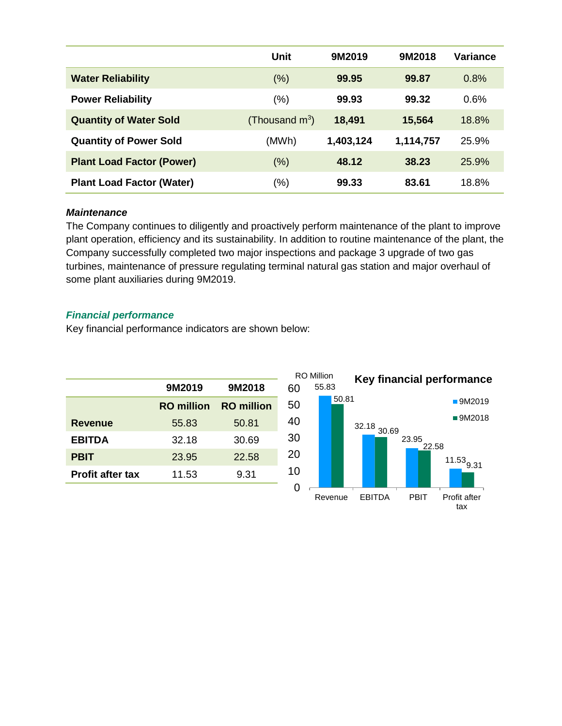|                                  | Unit              | 9M2019    | 9M2018    | Variance |
|----------------------------------|-------------------|-----------|-----------|----------|
| <b>Water Reliability</b>         | (% )              | 99.95     | 99.87     | 0.8%     |
| <b>Power Reliability</b>         | $(\% )$           | 99.93     | 99.32     | 0.6%     |
| <b>Quantity of Water Sold</b>    | (Thousand $m^3$ ) | 18,491    | 15,564    | 18.8%    |
| <b>Quantity of Power Sold</b>    | (MWh)             | 1,403,124 | 1,114,757 | 25.9%    |
| <b>Plant Load Factor (Power)</b> | (% )              | 48.12     | 38.23     | 25.9%    |
| <b>Plant Load Factor (Water)</b> | (%)               | 99.33     | 83.61     | 18.8%    |

#### *Maintenance*

The Company continues to diligently and proactively perform maintenance of the plant to improve plant operation, efficiency and its sustainability. In addition to routine maintenance of the plant, the Company successfully completed two major inspections and package 3 upgrade of two gas turbines, maintenance of pressure regulating terminal natural gas station and major overhaul of some plant auxiliaries during 9M2019.

## *Financial performance*

Key financial performance indicators are shown below:

|                         | 9M2019            | 9M2018            |  |
|-------------------------|-------------------|-------------------|--|
|                         | <b>RO</b> million | <b>RO</b> million |  |
| <b>Revenue</b>          | 55.83             | 50.81             |  |
| <b>EBITDA</b>           | 32.18             | 30.69             |  |
| <b>PBIT</b>             | 23.95             | 22.58             |  |
| <b>Profit after tax</b> | 11.53             | 9.31              |  |
|                         |                   |                   |  |

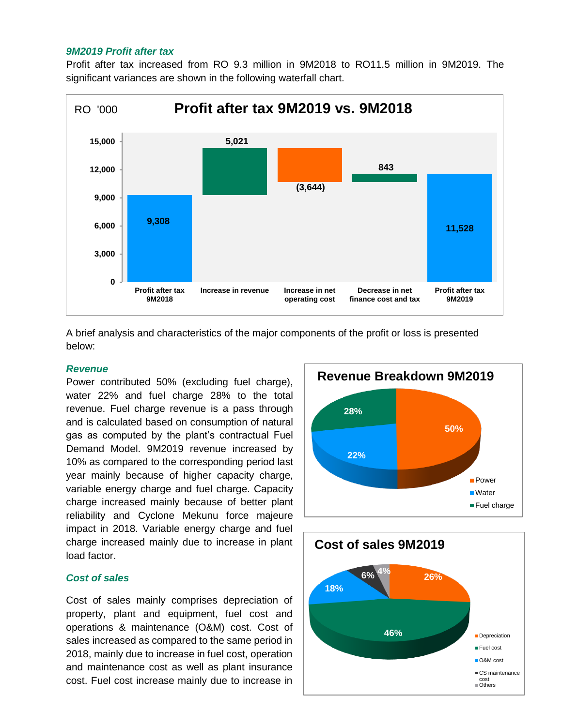#### *9M2019 Profit after tax*

Profit after tax increased from RO 9.3 million in 9M2018 to RO11.5 million in 9M2019. The significant variances are shown in the following waterfall chart.



A brief analysis and characteristics of the major components of the profit or loss is presented below:

#### *Revenue*

Power contributed 50% (excluding fuel charge), water 22% and fuel charge 28% to the total revenue. Fuel charge revenue is a pass through and is calculated based on consumption of natural gas as computed by the plant's contractual Fuel Demand Model. 9M2019 revenue increased by 10% as compared to the corresponding period last year mainly because of higher capacity charge, variable energy charge and fuel charge. Capacity charge increased mainly because of better plant reliability and Cyclone Mekunu force majeure impact in 2018. Variable energy charge and fuel charge increased mainly due to increase in plant load factor.

#### *Cost of sales*

Cost of sales mainly comprises depreciation of property, plant and equipment, fuel cost and operations & maintenance (O&M) cost. Cost of sales increased as compared to the same period in 2018, mainly due to increase in fuel cost, operation and maintenance cost as well as plant insurance cost. Fuel cost increase mainly due to increase in